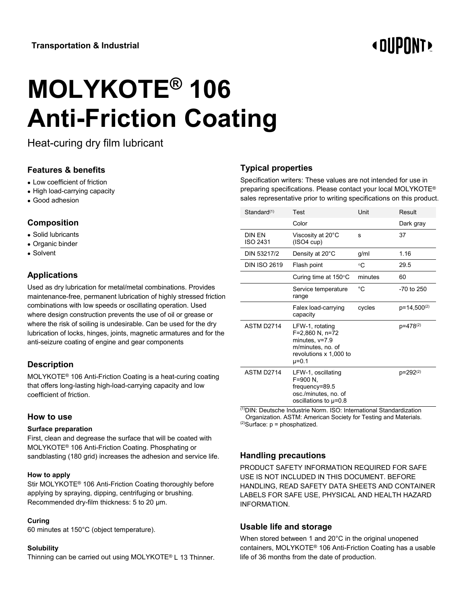# **« OUPONT**

# **MOLYKOTE® 106 Anti-Friction Coating**

Heat-curing dry film lubricant

# **Features & benefits**

- Low coefficient of friction
- High load-carrying capacity
- Good adhesion

# **Composition**

- Solid lubricants
- Organic binder
- Solvent

# **Applications**

Used as dry lubrication for metal/metal combinations. Provides maintenance-free, permanent lubrication of highly stressed friction combinations with low speeds or oscillating operation. Used where design construction prevents the use of oil or grease or where the risk of soiling is undesirable. Can be used for the dry lubrication of locks, hinges, joints, magnetic armatures and for the anti-seizure coating of engine and gear components

# **Description**

MOLYKOTE® 106 Anti-Friction Coating is a heat-curing coating that offers long-lasting high-load-carrying capacity and low coefficient of friction.

#### **How to use**

#### **Surface preparation**

First, clean and degrease the surface that will be coated with MOLYKOTE® 106 Anti-Friction Coating. Phosphating or sandblasting (180 grid) increases the adhesion and service life.

#### **How to apply**

Stir MOLYKOTE® 106 Anti-Friction Coating thoroughly before applying by spraying, dipping, centrifuging or brushing. Recommended dry-film thickness: 5 to 20 µm.

#### **Curing**

60 minutes at 150°C (object temperature).

#### **Solubility**

Thinning can be carried out using MOLYKOTE® L 13 Thinner.

# **Typical properties**

Specification writers: These values are not intended for use in preparing specifications. Please contact your local MOLYKOTE® sales representative prior to writing specifications on this product.

| Standard(1)            | Test                                                                                                                 | Unit    | Result                  |
|------------------------|----------------------------------------------------------------------------------------------------------------------|---------|-------------------------|
|                        | Color                                                                                                                |         | Dark gray               |
| DIN FN<br>ISO 2431     | Viscosity at 20°C<br>(ISO4 cup)                                                                                      | s       | 37                      |
| DIN 53217/2            | Density at 20°C                                                                                                      | g/ml    | 1.16                    |
| <b>DIN ISO 2619</b>    | Flash point                                                                                                          | ∘C      | 29.5                    |
|                        | Curing time at $150^{\circ}$ C                                                                                       | minutes | 60                      |
|                        | Service temperature<br>range                                                                                         | °C      | $-70$ to $250$          |
|                        | Falex load-carrying<br>capacity                                                                                      | cycles  | p=14,500 <sup>(2)</sup> |
| ASTM D <sub>2714</sub> | LFW-1, rotating<br>F=2,860 N, n=72<br>minutes, $v=7.9$<br>m/minutes, no. of<br>revolutions x 1,000 to<br>$\mu = 0.1$ |         | p=478(2)                |
| ASTM D <sub>2714</sub> | LFW-1, oscillating<br>F=900 N,<br>$frequency = 89.5$<br>osc./minutes, no. of<br>oscillations to $\mu$ =0.8           |         | p=292(2)                |

(1)DIN: Deutsche Industrie Norm. ISO: International Standardization Organization. ASTM: American Society for Testing and Materials.  $^{(2)}$ Surface:  $p =$  phosphatized.

#### **Handling precautions**

PRODUCT SAFETY INFORMATION REQUIRED FOR SAFE USE IS NOT INCLUDED IN THIS DOCUMENT. BEFORE HANDLING, READ SAFETY DATA SHEETS AND CONTAINER LABELS FOR SAFE USE, PHYSICAL AND HEALTH HAZARD INFORMATION.

# **Usable life and storage**

When stored between 1 and 20°C in the original unopened containers, MOLYKOTE® 106 Anti-Friction Coating has a usable life of 36 months from the date of production.